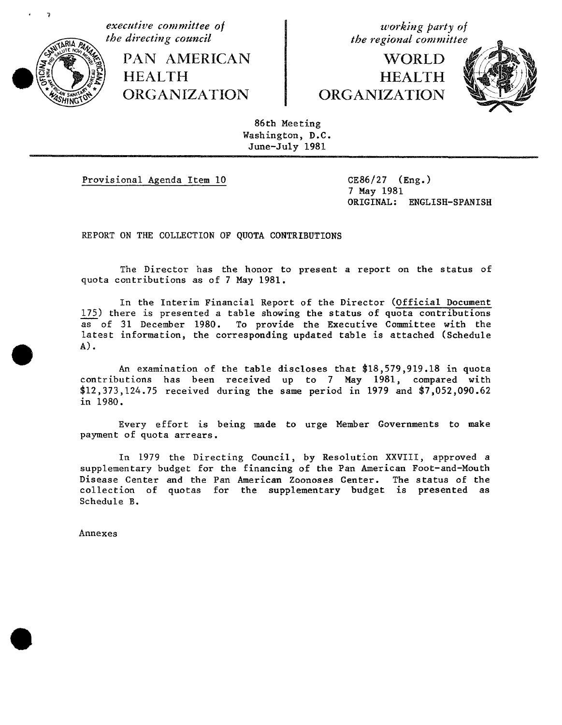

**executive** committee of *working party of*<br> **executive** committee of *the directing council* 

**PAN AMERICAN HEALTH** 

# **WORLD HEALTH**



86th Meeting Washington, D.C. June-July 1981

Provisional Agenda Item 10 CE86**/**27 (Eng.)

7 May 1981 ORIGINAL: ENGLISH-SPANISH

REPORT ON THE COLLECTION OF QUOTA CONTRIBUTIONS

The Director has the honor to present a report on the status of quota contribu**t**ions as of 7 May 1981.

In the Interim Financial Report of the Director (Official Document 175) there is presented a **t**able showing **t**he status of quota contributions as of 31 December 1980. To provide the Executive Committee with the latest information, the corresponding updated table is attached (Schedule A).

An examination of the table discloses that \$18,579,919.18 in quota contributions has been received up to 7 May 1981, compared with 512,373,124.75 received during the same period in 1979 and 57,052,090.62 in 1980.

Every effort is being made **t**o urge Member Governments **t**o make payment of quo**t**a arrears.

In 1979 the Directing Council, by Resolution XXVIII, approved a supplementary budget for the financing of the Pan American Foot-and-Mouth Disease Center and the Pan American Zoonoses Center. The status of the collection of quotas for the supplementary budget is presented as Schedule B.

Annexes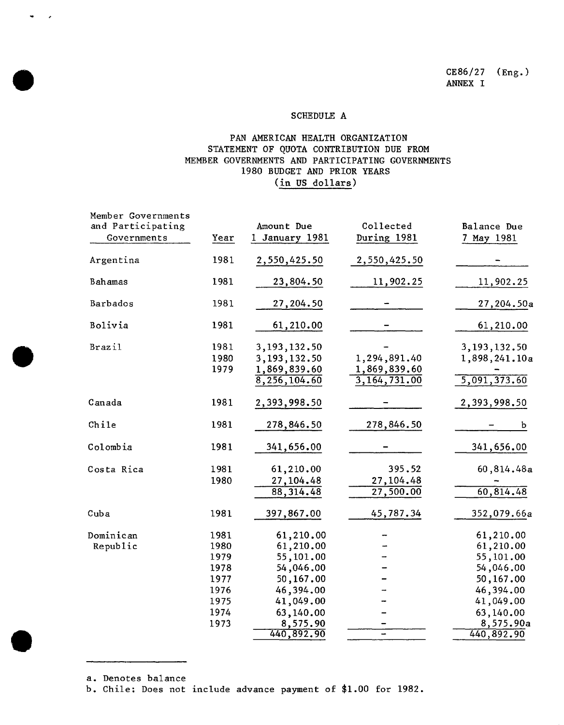### SCHEDULE A

### PAN AMERICAN HEALTH ORGANIZATION STATEMENT OF QUOTA CONTRIBUTION DUE FROM MEMBER GOVERNMENTS AND PARTICIPATING GOVERNMENTS 1980 BUDGET AND PRIOR YEARS (in US dollars)

| Member Governments<br>and Participating |      | Amount Due     | Collected    | Balance Due   |
|-----------------------------------------|------|----------------|--------------|---------------|
| Governments                             | Year | 1 January 1981 | During 1981  | 7 May 1981    |
|                                         |      |                |              |               |
| Argentina                               | 1981 | 2,550,425.50   | 2,550,425.50 |               |
|                                         |      |                |              |               |
| Bahamas                                 | 1981 | 23,804.50      | 11,902.25    | 11,902.25     |
| Barbados                                | 1981 | 27,204.50      |              | 27,204.50a    |
| Bolivia                                 | 1981 | 61,210.00      |              | 61,210.00     |
|                                         |      |                |              |               |
| Brazil                                  | 1981 | 3,193,132.50   |              | 3,193,132.50  |
|                                         | 1980 | 3,193,132.50   | 1,294,891.40 | 1,898,241.10a |
|                                         | 1979 | 1,869,839.60   | 1,869,839.60 |               |
|                                         |      | 8,256,104.60   | 3,164,731.00 | 5,091,373.60  |
| Canada                                  | 1981 | 2,393,998.50   |              | 2,393,998.50  |
|                                         |      |                |              |               |
| Chile                                   | 1981 | 278,846.50     | 278,846.50   | b             |
| Colombia                                | 1981 | 341,656.00     |              | 341,656.00    |
| Costa Rica                              | 1981 | 61,210.00      | 395.52       | 60,814.48a    |
|                                         | 1980 | 27,104.48      | 27,104.48    |               |
|                                         |      | 88, 314.48     | 27,500.00    | 60,814.48     |
|                                         |      |                |              |               |
| Cuba                                    | 1981 | 397,867.00     | 45,787.34    | 352,079.66a   |
| Dominican                               | 1981 | 61,210.00      |              | 61,210.00     |
| Republic                                | 1980 | 61,210.00      |              | 61,210.00     |
|                                         | 1979 | 55,101.00      |              | 55,101.00     |
|                                         | 1978 | 54,046.00      |              | 54,046.00     |
|                                         | 1977 | 50,167.00      |              | 50,167.00     |
|                                         | 1976 | 46,394.00      |              | 46,394.00     |
|                                         | 1975 | 41,049.00      |              | 41,049.00     |
|                                         | 1974 | 63,140.00      |              | 63,140.00     |
|                                         | 1973 | 8,575.90       |              | 8,575.90a     |
|                                         |      | 440,892.90     |              | 440,892.90    |

a. Denotes balance

 $\bullet$  and  $\bullet$ 

b. Chile: Does not include advance payment of \_1.00 for 1982.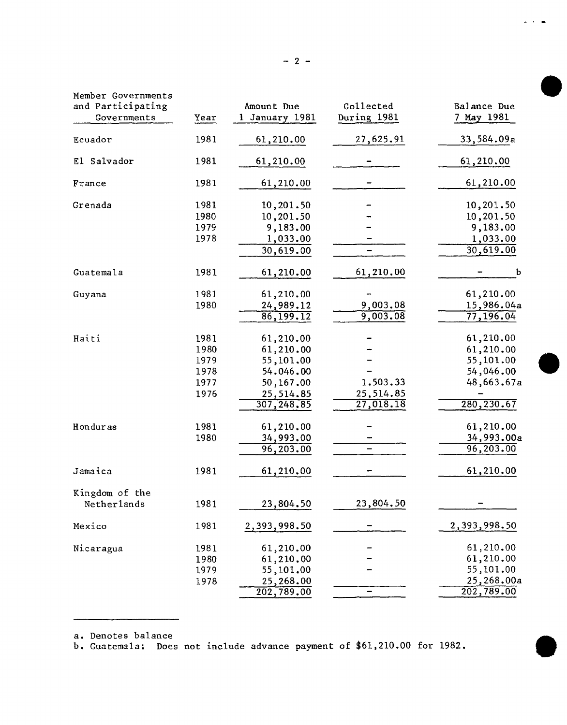| Member Governments<br>and Participating |      | Amount Due     | Collected   | Balance Due  |
|-----------------------------------------|------|----------------|-------------|--------------|
| Governments                             | Year | 1 January 1981 | During 1981 | 7 May 1981   |
| Ecuador                                 | 1981 | 61,210.00      | 27,625.91   | 33,584.09a   |
| El Salvador                             | 1981 | 61,210.00      |             | 61,210.00    |
| France                                  | 1981 | 61,210.00      |             | 61,210.00    |
| Grenada                                 | 1981 | 10,201.50      |             | 10,201.50    |
|                                         | 1980 | 10,201.50      |             | 10,201.50    |
|                                         | 1979 | 9,183.00       |             | 9,183.00     |
|                                         | 1978 | 1,033.00       |             | 1,033.00     |
|                                         |      | 30,619.00      |             | 30,619.00    |
| Guatemala                               | 1981 | 61,210.00      | 61,210.00   | b            |
| Guyana                                  | 1981 | 61,210.00      |             | 61,210.00    |
|                                         | 1980 | 24,989.12      | 9,003.08    | 15,986.04a   |
|                                         |      | 86,199.12      | 9,003.08    | 77,196.04    |
| Haiti                                   | 1981 | 61,210.00      |             | 61,210.00    |
|                                         | 1980 | 61,210.00      |             | 61,210.00    |
|                                         | 1979 | 55,101.00      |             | 55,101.00    |
|                                         | 1978 | 54.046.00      |             | 54,046.00    |
|                                         | 1977 | 50,167.00      | 1.503.33    | 48,663.67a   |
|                                         | 1976 | 25,514.85      | 25,514.85   |              |
|                                         |      | 307, 248, 85   | 27,018.18   | 280,230.67   |
| Honduras                                | 1981 | 61,210.00      |             | 61,210.00    |
|                                         | 1980 | 34,993.00      |             | 34,993.00a   |
|                                         |      | 96,203.00      |             | 96,203.00    |
| Jamaica                                 | 1981 | 61,210.00      |             | 61,210.00    |
| Kingdom of the                          |      |                |             |              |
| Netherlands                             | 1981 | 23,804.50      | 23,804.50   |              |
| Mexico                                  | 1981 | 2,393,998.50   |             | 2,393,998.50 |
| Nicaragua                               | 1981 | 61,210.00      |             | 61,210.00    |
|                                         | 1980 | 61,210.00      |             | 61,210.00    |
|                                         | 1979 | 55,101.00      |             | 55,101.00    |
|                                         | 1978 | 25,268.00      |             | 25,268.00a   |
|                                         |      | 202,789.00     | -           | 202,789.00   |

a. Denotes balance<br>b. Guatemala: Does not include advance payment of \$61,210.00 for 1982.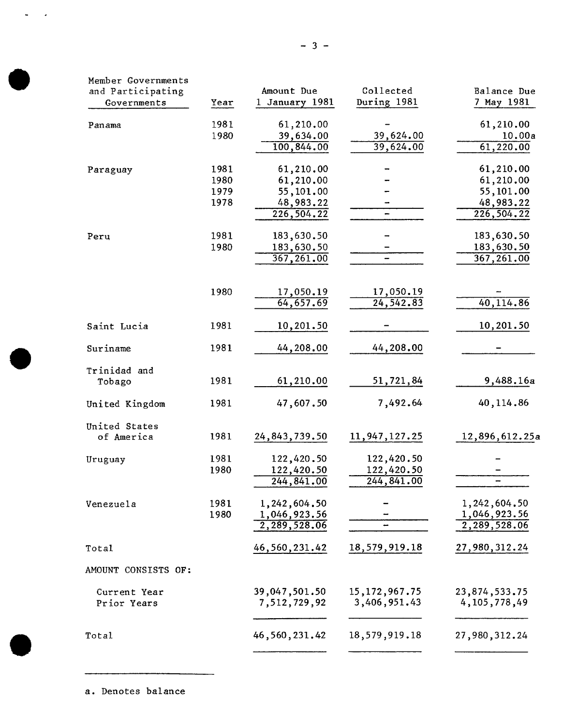| Year | 1 January 1981                               | During 1981                                                                                                                                                                                         | 7 May 1981                                                                                            |
|------|----------------------------------------------|-----------------------------------------------------------------------------------------------------------------------------------------------------------------------------------------------------|-------------------------------------------------------------------------------------------------------|
|      |                                              |                                                                                                                                                                                                     |                                                                                                       |
| 1981 | 61,210.00                                    |                                                                                                                                                                                                     | 61,210.00                                                                                             |
|      |                                              |                                                                                                                                                                                                     | 10.00a                                                                                                |
|      |                                              |                                                                                                                                                                                                     | 61,220.00                                                                                             |
| 1981 | 61,210.00                                    |                                                                                                                                                                                                     | 61,210.00                                                                                             |
| 1980 |                                              |                                                                                                                                                                                                     | 61,210.00                                                                                             |
|      |                                              |                                                                                                                                                                                                     | 55,101.00                                                                                             |
|      |                                              |                                                                                                                                                                                                     | 48,983.22                                                                                             |
|      |                                              |                                                                                                                                                                                                     | 226,504.22                                                                                            |
| 1981 | 183,630.50                                   |                                                                                                                                                                                                     | 183,630.50                                                                                            |
| 1980 | 183,630.50                                   |                                                                                                                                                                                                     | 183,630.50                                                                                            |
|      |                                              |                                                                                                                                                                                                     | 367,261.00                                                                                            |
|      |                                              |                                                                                                                                                                                                     |                                                                                                       |
| 1980 | 17,050.19                                    | 17,050.19                                                                                                                                                                                           |                                                                                                       |
|      |                                              |                                                                                                                                                                                                     | 40,114.86                                                                                             |
| 1981 | 10,201.50                                    |                                                                                                                                                                                                     | 10,201.50                                                                                             |
| 1981 | 44,208.00                                    | 44,208.00                                                                                                                                                                                           |                                                                                                       |
|      |                                              |                                                                                                                                                                                                     | 9,488.16a                                                                                             |
|      |                                              |                                                                                                                                                                                                     |                                                                                                       |
|      |                                              |                                                                                                                                                                                                     | 40,114.86                                                                                             |
|      |                                              |                                                                                                                                                                                                     |                                                                                                       |
|      |                                              |                                                                                                                                                                                                     | 12,896,612.25a                                                                                        |
| 1981 | 122,420.50                                   | 122,420.50                                                                                                                                                                                          |                                                                                                       |
| 1980 | 122,420.50                                   | 122,420.50                                                                                                                                                                                          |                                                                                                       |
|      | 244,841.00                                   | 244,841.00                                                                                                                                                                                          |                                                                                                       |
| 1981 |                                              |                                                                                                                                                                                                     | 1,242,604.50                                                                                          |
| 1980 |                                              |                                                                                                                                                                                                     | 1,046,923.56                                                                                          |
|      | 2,289,528.06                                 |                                                                                                                                                                                                     | 2,289,528.06                                                                                          |
|      | 46,560,231.42                                | 18,579,919.18                                                                                                                                                                                       | 27,980,312.24                                                                                         |
|      |                                              |                                                                                                                                                                                                     |                                                                                                       |
|      |                                              |                                                                                                                                                                                                     | 23,874,533.75                                                                                         |
|      | 7,512,729,92                                 | 3,406,951.43                                                                                                                                                                                        | 4, 105, 778, 49                                                                                       |
|      |                                              |                                                                                                                                                                                                     |                                                                                                       |
|      | 1980<br>1979<br>1978<br>1981<br>1981<br>1981 | 39,634.00<br>100,844.00<br>61,210.00<br>55,101.00<br>48,983.22<br>226,504.22<br>367,261.00<br>64,657.69<br>61,210.00<br>47,607.50<br>24,843,739.50<br>1,242,604.50<br>1,046,923.56<br>39,047,501.50 | 39,624.00<br>39,624.00<br>24, 542.83<br>51,721,84<br>7,492.64<br>11, 947, 127. 25<br>15, 172, 967. 75 |

 $\omega_{\rm{max}}$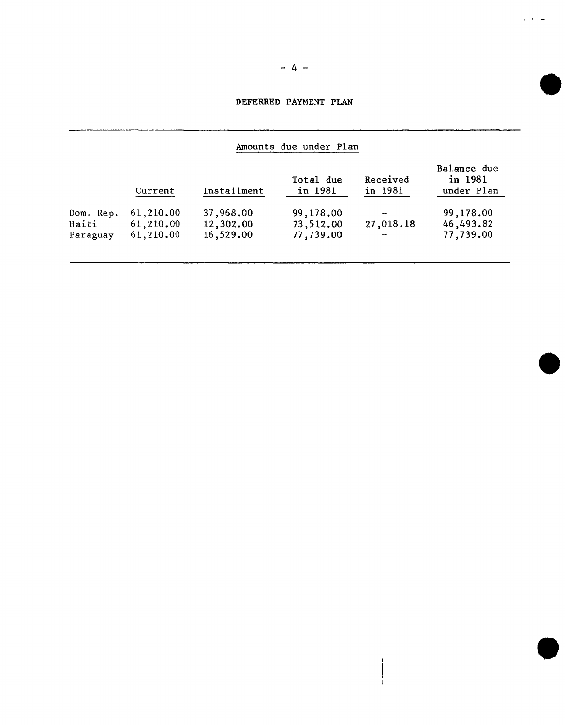## DEFERRED PAYMENT PLAN

# Amounts due under Plan

|           | Current   | Installment | Total due<br>in 1981 | Received<br>in 1981      | Balance due<br>in 1981<br>under Plan |
|-----------|-----------|-------------|----------------------|--------------------------|--------------------------------------|
| Dom. Rep. | 61,210.00 | 37,968,00   | 99,178.00            | $\overline{\phantom{a}}$ | 99,178.00                            |
| Haiti     | 61,210.00 | 12,302.00   | 73,512.00            | 27,018.18                | 46,493.82                            |
| Paraguay  | 61,210.00 | 16,529.00   | 77,739.00            | $\overline{\phantom{a}}$ | 77,739.00                            |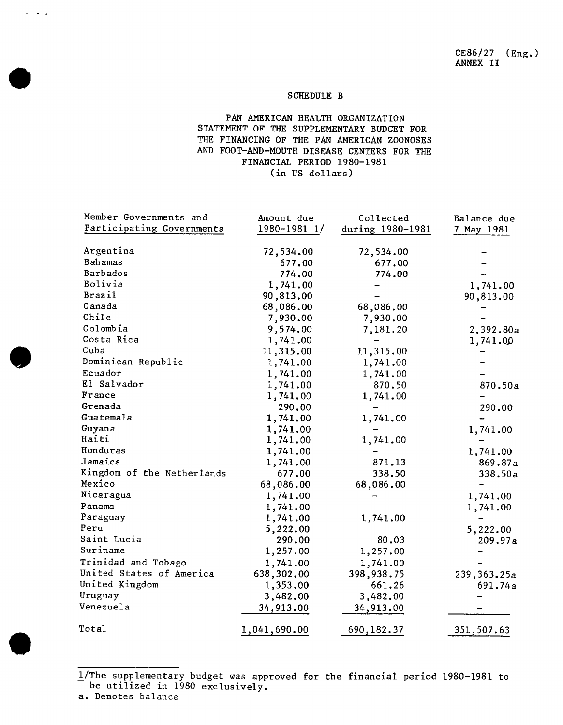#### SCHEDULE B

### PAN AMERICAN HEALTH ORGANIZATION STATEMENT OF THE SUPPLEMENTARY BUDGET FOR THE FINANCING OF THE PAN AMERICAN ZOONOSES AND FOOT-AND-MOUTH DISEASE CENTERS FOR THE FINANCIAL PERIOD 1980-1981 (in US dollars)

| Member Governments and     | Amount due   | Collected        | Balance due |
|----------------------------|--------------|------------------|-------------|
| Participating Governments  | 1980-1981 1/ | during 1980-1981 | 7 May 1981  |
|                            |              |                  |             |
| Argentina                  | 72,534.00    | 72,534.00        |             |
| Bahamas                    | 677.00       | 677.00           |             |
| Barbados                   | 774.00       | 774.00           |             |
| Bolivia                    | 1,741.00     |                  | 1,741.00    |
| <b>Brazil</b>              | 90,813.00    |                  | 90,813.00   |
| Canada                     | 68,086.00    | 68,086.00        |             |
| Chile                      | 7,930.00     | 7,930.00         |             |
| Colombia                   | 9,574.00     | 7,181.20         | 2,392.80a   |
| Costa Rica                 | 1,741.00     |                  | 1,741.00    |
| Cuba                       | 11,315.00    | 11,315.00        |             |
| Dominican Republic         | 1,741.00     | 1,741.00         |             |
| Ecuador                    | 1,741.00     | 1,741.00         |             |
| El Salvador                | 1,741.00     | 870.50           | 870.50a     |
| France                     | 1,741.00     | 1,741.00         |             |
| Grenada                    | 290.00       |                  | 290.00      |
| Guatemala                  | 1,741.00     | 1,741.00         |             |
| Guyana                     | 1,741.00     |                  | 1,741.00    |
| Haiti                      | 1,741.00     | 1,741.00         |             |
| Honduras                   | 1,741.00     |                  | 1,741.00    |
| Jamaica                    | 1,741.00     | 871.13           | 869.87a     |
| Kingdom of the Netherlands | 677.00       | 338.50           | 338.50a     |
| Mexico                     | 68,086.00    | 68,086.00        |             |
| Nicaragua                  | 1,741.00     |                  | 1,741.00    |
| Panama                     | 1,741.00     |                  | 1,741.00    |
| Paraguay                   | 1,741.00     | 1,741.00         |             |
| Peru                       | 5,222.00     |                  | 5,222.00    |
| Saint Lucia                | 290.00       | 80.03            | 209.97a     |
| Suriname                   | 1,257.00     | 1,257.00         |             |
| Trinidad and Tobago        | 1,741.00     | 1,741.00         |             |
| United States of America   | 638,302.00   | 398,938.75       | 239,363.25a |
| United Kingdom             | 1,353.00     | 661.26           | 691.74a     |
| Uruguay                    | 3,482.00     | 3,482.00         |             |
| Venezuela                  | 34,913.00    | 34,913.00        |             |
| Total                      | 1,041,690.00 | 690, 182.37      | 351,507.63  |

i**/**The supplementary budget was approved for the financial period 1980-1981 to be utilized in 1980 exclusively.

a. Denotes balance

 $\sim$   $\sim$   $\sim$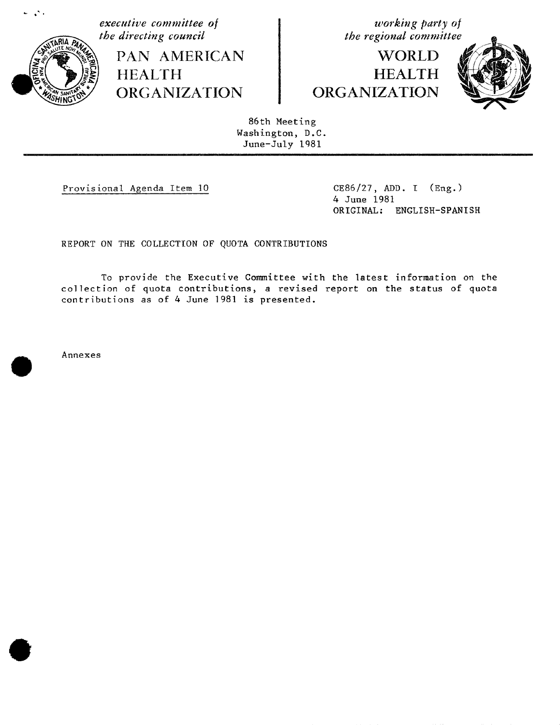

 $\mathcal{L}^{\mathcal{L}}$  .

**executive** committee of **of** *working party of* the directing council

**PAN AMERICAN HEALTH**  $\overline{ORGANIZATION}$  |  $ORGANIZATION$ 

# **WORLD HEALTH**



86th Meeting Washington, D.C. June-July 1081

i.

Provisional Agenda Item 10 CE86**/**27, ADD. I (Eng.)

4 June 1981 ORIGINAL: ENGLISH-SPANISH

REPORT ON THE COLLECTION OF QUOTA CONTRIBUTIONS

To provide the Executive Committee with the latest information on the collection of quota contributions, a revised report on the status of quota contributions as of 4 June 1981 is presented.

Annexes

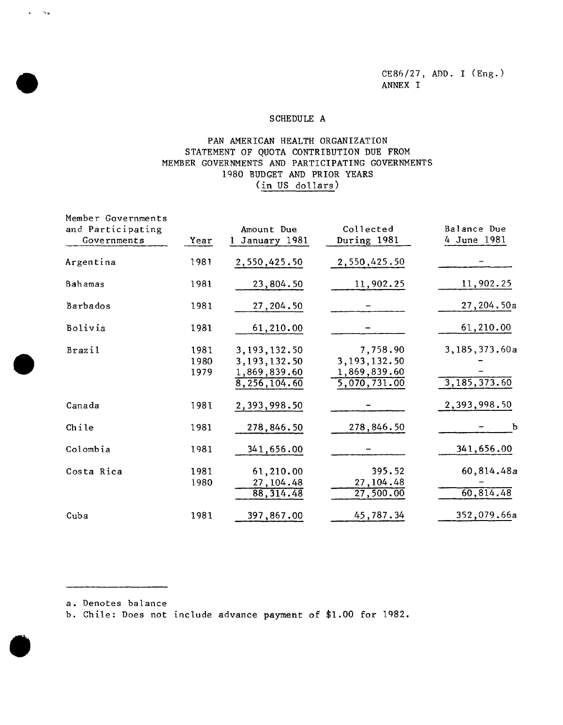### SCHEDULE A

### PAN AMERICAN HEALTH ORGANIZATION<br>STATEMENT OF QUOTA CONTRIBUTION DUE FROM STATEMENT OF QUOTA CONTRIBUTION DUE FROM MEMBER GOVERNMENTS AND PARTICIPATING GOVERNMENTS 1980 BUDGET AND PRIOR YEARS (in US dollars)

| and Participating<br>Governments | Year                 | Amount Due<br>1 January 1981                                   | Collected<br>During 1981                                                | Balance Due<br>4 June 1981      |
|----------------------------------|----------------------|----------------------------------------------------------------|-------------------------------------------------------------------------|---------------------------------|
| Argentina                        | 1981                 | 2,550,425.50                                                   | 2,550,425.50                                                            |                                 |
| Bahamas                          | 1981                 | 23,804.50                                                      | 11,902.25                                                               | 11,902.25                       |
| Barbados                         | 1981                 | 27,204.50                                                      |                                                                         | 27,204.50a                      |
| Bolivia                          | 1981                 | 61,210.00                                                      |                                                                         | 61,210.00                       |
| <b>Brazil</b>                    | 1981<br>1980<br>1979 | 3, 193, 132.50<br>3,193,132.50<br>1,869,839.60<br>8,256,104.60 | 7,758.90<br>3, 193, 132.50<br>1,869,839.60<br>$\overline{5,070,731.00}$ | 3,185,373.60a<br>3, 185, 373.60 |
| Canada                           | 1981                 | 2,393,998.50                                                   |                                                                         | 2,393,998.50                    |
| Chile                            | 1981                 | 278,846.50                                                     | 278,846.50                                                              | b                               |
| Colombia                         | 1981                 | 341,656.00                                                     |                                                                         | 341,656.00                      |
| Costa Rica                       | 1981<br>1980         | 61,210.00<br>27, 104.48<br>88,314.48                           | 395.52<br>27, 104.48<br>27,500.00                                       | 60,814.48a<br>60,814.48         |
| Cuba                             | 1981                 | 397,867.00                                                     | 45,787.34                                                               | 352,079.66a                     |

a. Denotes balance

 $\sim$ 

 $\Delta \phi$ 

b. Chile: Does not include advance payment of \$1.00 for 1982.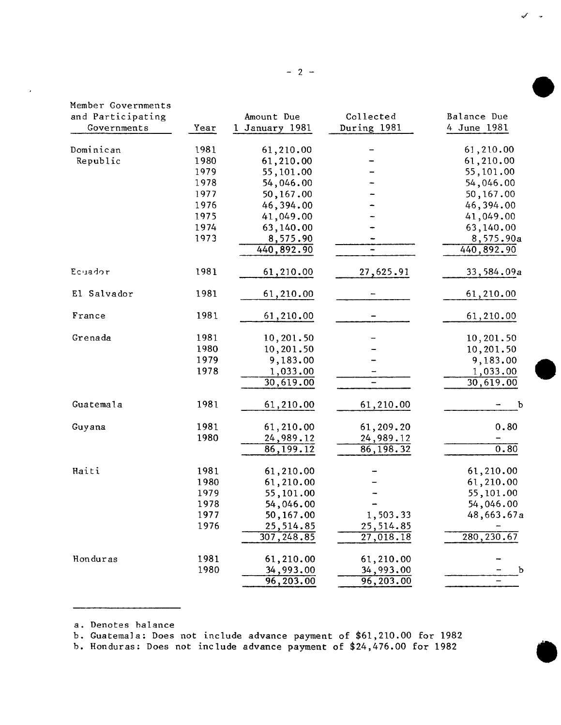| Member Governments |      |                |             |             |
|--------------------|------|----------------|-------------|-------------|
| and Participating  |      | Amount Due     | Collected   | Balance Due |
| Governments        | Year | 1 January 1981 | During 1981 | 4 June 1981 |
| Dominican          | 1981 | 61,210.00      |             | 61,210.00   |
| Republic           | 1980 | 61,210.00      |             | 61,210.00   |
|                    | 1979 | 55,101.00      |             | 55,101.00   |
|                    | 1978 | 54,046.00      |             | 54,046.00   |
|                    | 1977 | 50,167.00      |             | 50,167.00   |
|                    | 1976 | 46,394.00      |             | 46,394.00   |
|                    | 1975 | 41,049.00      |             | 41,049.00   |
|                    | 1974 | 63,140.00      |             | 63,140.00   |
|                    | 1973 | 8,575.90       |             | 8,575.90a   |
|                    |      | 440,892.90     |             | 440,892.90  |
| Ecuador            | 1981 | 61,210.00      | 27,625.91   | 33,584.09a  |
| El Salvador        | 1981 | 61,210.00      |             | 61,210.00   |
| France             | 1981 | 61,210.00      |             | 61,210.00   |
| Grenada            | 1981 | 10,201.50      |             | 10,201.50   |
|                    | 1980 | 10,201.50      |             | 10,201.50   |
|                    | 1979 | 9,183.00       |             | 9,183.00    |
|                    | 1978 | 1,033.00       |             | 1,033.00    |
|                    |      | 30,619.00      |             | 30,619.00   |
| Guatemala          | 1981 | 61,210.00      | 61,210.00   | $\mathbf b$ |
| Guyana             | 1981 | 61,210.00      | 61,209.20   | 0.80        |
|                    | 1980 | 24,989.12      | 24,989.12   |             |
|                    |      | 86,199.12      | 86, 198. 32 | 0.80        |
| Haiti              | 1981 | 61,210.00      |             | 61,210.00   |
|                    | 1980 | 61,210.00      |             | 61,210.00   |
|                    | 1979 | 55,101.00      |             | 55,101.00   |
|                    | 1978 | 54,046.00      |             | 54,046.00   |
|                    | 1977 | 50,167.00      | 1,503.33    | 48,663.67a  |
|                    | 1976 | 25,514.85      | 25,514.85   |             |
|                    |      | 307, 248.85    | 27,018.18   | 280, 230.67 |
| Honduras           | 1981 | 61,210.00      | 61,210.00   |             |
|                    | 1980 | 34,993.00      | 34,993.00   | b           |
|                    |      | 96,203.00      | 96,203.00   |             |

 $\overline{\phantom{a}}$ 

 $b$ . Hondures: Does not include advance payment of \$2, 476.00 for 1982  $h_{\rm c}$  include advance payment of  $324,76$  for  $10$  for  $10$  for  $10$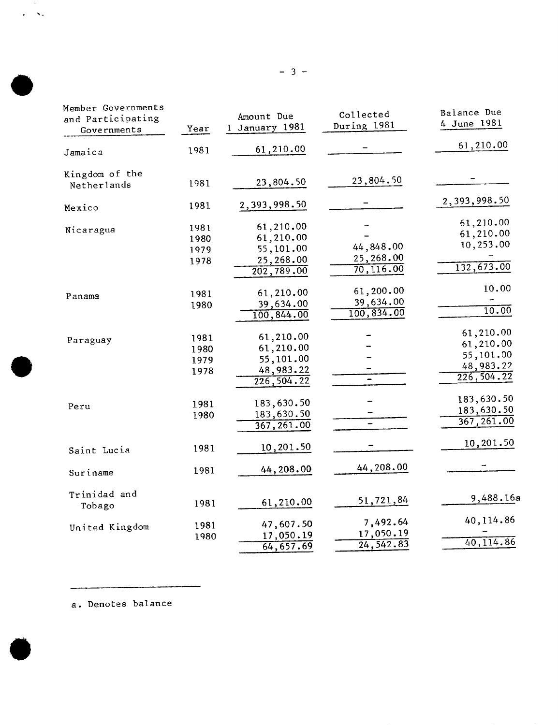| Member Governments<br>and Participating<br>Governments | Year | Amount Due<br>1 January 1981 | Collected<br>During 1981 | Balance Due<br>4 June 1981 |
|--------------------------------------------------------|------|------------------------------|--------------------------|----------------------------|
|                                                        |      |                              |                          |                            |
| Jamaica                                                | 1981 | 61,210.00                    |                          | 61, 210.00                 |
| Kingdom of the                                         |      |                              |                          |                            |
| Netherlands                                            | 1981 | 23,804.50                    | 23,804.50                |                            |
| Mexico                                                 | 1981 | 2,393,998.50                 |                          | 2,393,998.50               |
| Nicaragua                                              | 1981 | 61,210.00                    |                          | 61,210.00                  |
|                                                        | 1980 | 61,210.00                    |                          | 61,210.00                  |
|                                                        | 1979 | 55,101.00                    | 44,848.00                | 10,253.00                  |
|                                                        | 1978 | 25,268.00                    | 25,268.00                |                            |
|                                                        |      | 202,789.00                   | 70, 116.00               | 132,673.00                 |
|                                                        |      |                              | 61,200.00                | 10.00                      |
| Panama                                                 | 1981 | 61,210.00                    | 39,634.00                |                            |
|                                                        | 1980 | 39,634.00<br>100,844.00      | 100,834.00               | 10.00                      |
|                                                        |      |                              |                          |                            |
| Paraguay                                               | 1981 | 61,210.00                    |                          | 61,210.00                  |
|                                                        | 1980 | 61,210.00                    |                          | 61,210.00                  |
|                                                        | 1979 | 55,101.00                    |                          | 55,101.00                  |
|                                                        | 1978 | 48,983.22                    |                          | 48,983.22                  |
|                                                        |      | 226, 504.22                  |                          | 226, 504.22                |
|                                                        |      | 183,630.50                   |                          | 183,630.50                 |
| Peru                                                   | 1981 |                              |                          | 183,630.50                 |
|                                                        | 1980 | 183,630.50<br>367, 261.00    |                          | 367,261.00                 |
|                                                        |      |                              |                          |                            |
| Saint Lucia                                            | 1981 | 10,201.50                    |                          | 10,201.50                  |
| Suriname                                               | 1981 | 44,208.00                    | 44,208.00                |                            |
| Trinidad and                                           |      |                              |                          |                            |
| Tobago                                                 | 1981 | 61,210.00                    | 51,721,84                | 9,488.16a                  |
|                                                        |      | 47,607.50                    | 7,492.64                 | 40,114.86                  |
| United Kingdom                                         | 1981 | 17,050.19                    | 17,050.19                |                            |
|                                                        | 1980 | 64,657.69                    | $\overline{24, 542.83}$  | 40,114.86                  |
|                                                        |      |                              |                          |                            |

 $\sim 10^{-1}$  $\omega = 8\pi$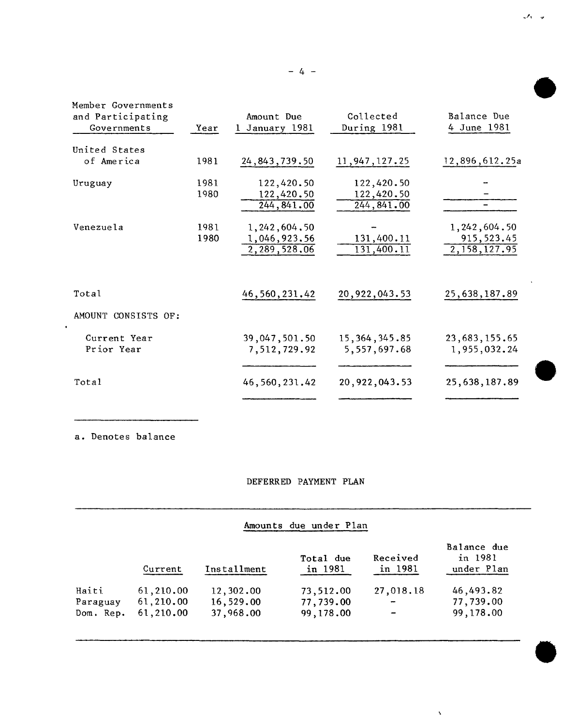| Member Governments<br>and Participating<br>Governments | Year         | Amount Due<br>1 January 1981                    | Collected<br>During 1981        | Balance Due<br>4 June 1981                      |
|--------------------------------------------------------|--------------|-------------------------------------------------|---------------------------------|-------------------------------------------------|
| United States                                          |              |                                                 |                                 |                                                 |
| of America                                             | 1981         | 24, 843, 739.50                                 | 11,947,127.25                   | 12,896,612.25a                                  |
| Uruguay                                                | 1981         | 122,420.50                                      | 122,420.50                      |                                                 |
|                                                        | 1980         | 122,420.50<br>244, 841.00                       | 122,420.50<br>244, 841.00       |                                                 |
| Venezuela                                              | 1981<br>1980 | 1, 242, 604, 50<br>1,046,923.56<br>2,289,528.06 | 131,400.11<br>131,400.11        | 1, 242, 604.50<br>915, 523.45<br>2, 158, 127.95 |
| Total                                                  |              | 46, 560, 231.42                                 | 20, 922, 043.53                 | 25,638,187.89                                   |
| AMOUNT CONSISTS OF:                                    |              |                                                 |                                 |                                                 |
| Current Year<br>Prior Year                             |              | 39,047,501.50<br>7,512,729.92                   | 15, 364, 345.85<br>5,557,697.68 | 23,683,155.65<br>1,955,032.24                   |
| Total                                                  |              | 46, 560, 231.42                                 | 20,922,043.53                   | 25,638,187.89                                   |
|                                                        |              |                                                 |                                 |                                                 |

 $\bullet$ 

### DEFERRED PAYMENT PLAN

## Amounts due under Plan

 $\bar{\mathbf{v}}$ 

|           | Current   | Installment | Total due<br>in 1981 | Received<br>in 1981 | Balance due<br>in 1981<br>under Plan |
|-----------|-----------|-------------|----------------------|---------------------|--------------------------------------|
| Haiti     | 61,210.00 | 12,302.00   | 73,512.00            | 27,018.18           | 46,493.82                            |
| Paraguay  | 61,210.00 | 16,529.00   | 77,739.00            | $\qquad \qquad$     | 77,739.00                            |
| Dom. Rep. | 61,210.00 | 37,968.00   | 99, 178, 00          |                     | 99,178.00                            |

 $\mathcal{F}_1 = \mathcal{F}_2$